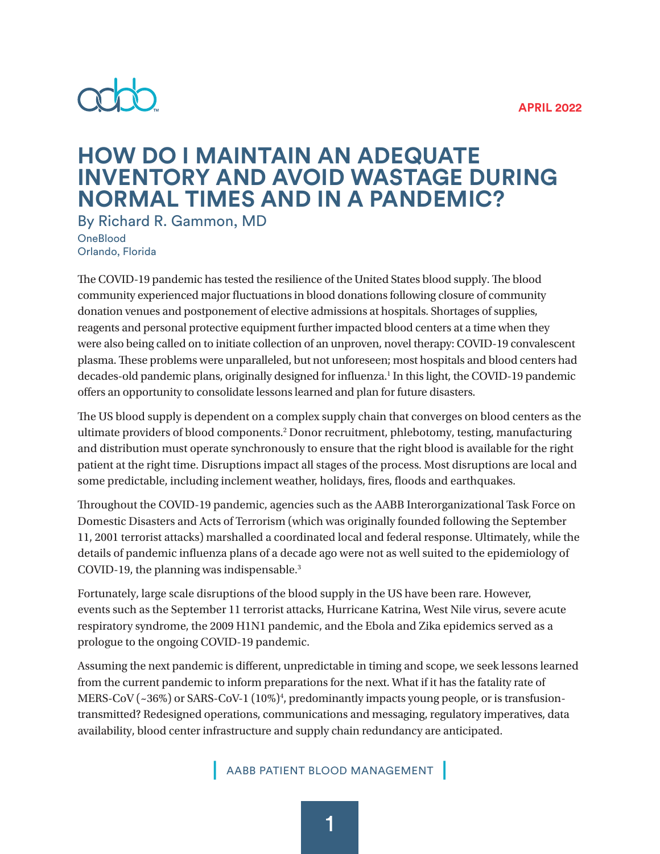#### **APRIL 2022**



# **HOW DO I MAINTAIN AN ADEQUATE INVENTORY AND AVOID WASTAGE DURING NORMAL TIMES AND IN A PANDEMIC?**

By Richard R. Gammon, MD **OneBlood** 

Orlando, Florida

The COVID-19 pandemic has tested the resilience of the United States blood supply. The blood community experienced major fluctuations in blood donations following closure of community donation venues and postponement of elective admissions at hospitals. Shortages of supplies, reagents and personal protective equipment further impacted blood centers at a time when they were also being called on to initiate collection of an unproven, novel therapy: COVID-19 convalescent plasma. These problems were unparalleled, but not unforeseen; most hospitals and blood centers had decades-old pandemic plans, originally designed for influenza.<sup>1</sup> In this light, the COVID-19 pandemic offers an opportunity to consolidate lessons learned and plan for future disasters.

The US blood supply is dependent on a complex supply chain that converges on blood centers as the ultimate providers of blood components.<sup>2</sup> Donor recruitment, phlebotomy, testing, manufacturing and distribution must operate synchronously to ensure that the right blood is available for the right patient at the right time. Disruptions impact all stages of the process. Most disruptions are local and some predictable, including inclement weather, holidays, fires, floods and earthquakes.

Throughout the COVID-19 pandemic, agencies such as the AABB Interorganizational Task Force on Domestic Disasters and Acts of Terrorism (which was originally founded following the September 11, 2001 terrorist attacks) marshalled a coordinated local and federal response. Ultimately, while the details of pandemic influenza plans of a decade ago were not as well suited to the epidemiology of COVID-19, the planning was indispensable.3

Fortunately, large scale disruptions of the blood supply in the US have been rare. However, events such as the September 11 terrorist attacks, Hurricane Katrina, West Nile virus, severe acute respiratory syndrome, the 2009 H1N1 pandemic, and the Ebola and Zika epidemics served as a prologue to the ongoing COVID-19 pandemic.

Assuming the next pandemic is different, unpredictable in timing and scope, we seek lessons learned from the current pandemic to inform preparations for the next. What if it has the fatality rate of MERS-CoV (~36%) or SARS-CoV-1 (10%)<sup>4</sup>, predominantly impacts young people, or is transfusiontransmitted? Redesigned operations, communications and messaging, regulatory imperatives, data availability, blood center infrastructure and supply chain redundancy are anticipated.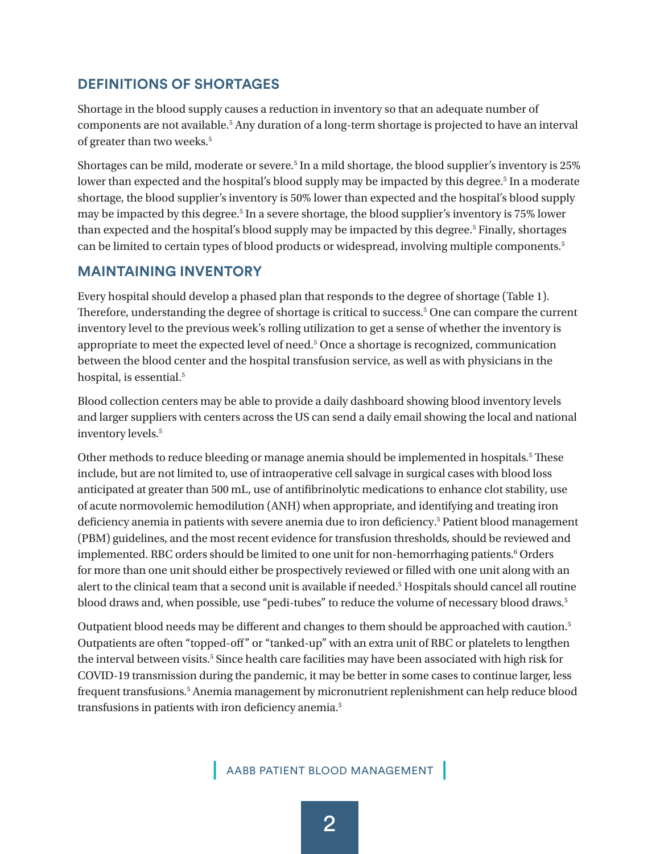# **DEFINITIONS OF SHORTAGES**

Shortage in the blood supply causes a reduction in inventory so that an adequate number of components are not available.<sup>5</sup> Any duration of a long-term shortage is projected to have an interval of greater than two weeks.<sup>5</sup>

Shortages can be mild, moderate or severe.<sup>5</sup> In a mild shortage, the blood supplier's inventory is 25% lower than expected and the hospital's blood supply may be impacted by this degree.<sup>5</sup> In a moderate shortage, the blood supplier's inventory is 50% lower than expected and the hospital's blood supply may be impacted by this degree.5 In a severe shortage, the blood supplier's inventory is 75% lower than expected and the hospital's blood supply may be impacted by this degree.<sup>5</sup> Finally, shortages can be limited to certain types of blood products or widespread, involving multiple components.5

#### **MAINTAINING INVENTORY**

Every hospital should develop a phased plan that responds to the degree of shortage (Table 1). Therefore, understanding the degree of shortage is critical to success.<sup>5</sup> One can compare the current inventory level to the previous week's rolling utilization to get a sense of whether the inventory is appropriate to meet the expected level of need.<sup>5</sup> Once a shortage is recognized, communication between the blood center and the hospital transfusion service, as well as with physicians in the hospital, is essential.<sup>5</sup>

Blood collection centers may be able to provide a daily dashboard showing blood inventory levels and larger suppliers with centers across the US can send a daily email showing the local and national inventory levels.5

Other methods to reduce bleeding or manage anemia should be implemented in hospitals.<sup>5</sup> These include, but are not limited to, use of intraoperative cell salvage in surgical cases with blood loss anticipated at greater than 500 mL, use of antifibrinolytic medications to enhance clot stability, use of acute normovolemic hemodilution (ANH) when appropriate, and identifying and treating iron deficiency anemia in patients with severe anemia due to iron deficiency.<sup>5</sup> Patient blood management (PBM) guidelines, and the most recent evidence for transfusion thresholds, should be reviewed and implemented. RBC orders should be limited to one unit for non-hemorrhaging patients.<sup>6</sup> Orders for more than one unit should either be prospectively reviewed or filled with one unit along with an alert to the clinical team that a second unit is available if needed.<sup>5</sup> Hospitals should cancel all routine blood draws and, when possible, use "pedi-tubes" to reduce the volume of necessary blood draws.<sup>5</sup>

Outpatient blood needs may be different and changes to them should be approached with caution.<sup>5</sup> Outpatients are often "topped-off" or "tanked-up" with an extra unit of RBC or platelets to lengthen the interval between visits.<sup>5</sup> Since health care facilities may have been associated with high risk for COVID-19 transmission during the pandemic, it may be better in some cases to continue larger, less frequent transfusions.<sup>5</sup> Anemia management by micronutrient replenishment can help reduce blood transfusions in patients with iron deficiency anemia.5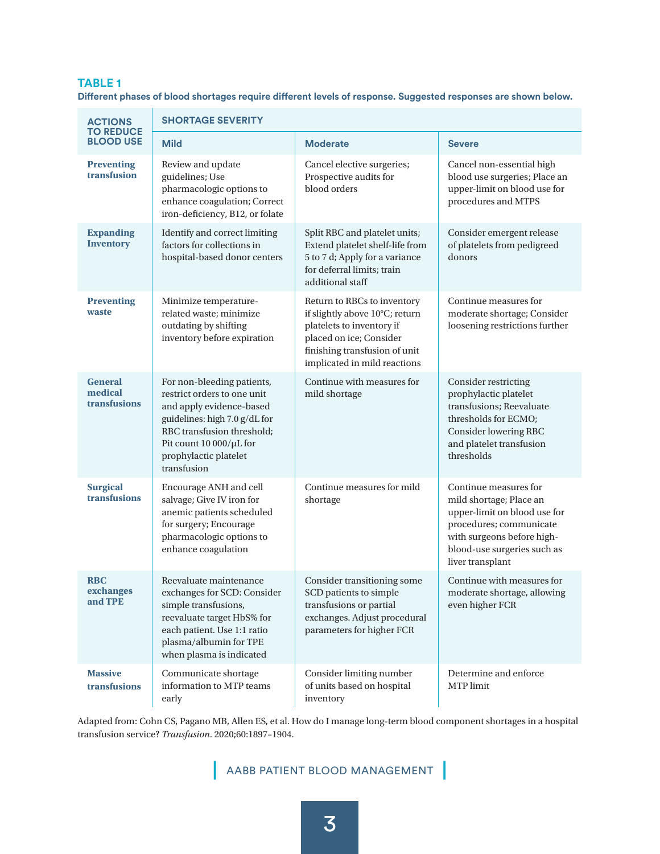#### **TABLE 1**

**Different phases of blood shortages require different levels of response. Suggested responses are shown below.**

| <b>ACTIONS</b><br><b>TO REDUCE</b><br><b>BLOOD USE</b> | <b>SHORTAGE SEVERITY</b>                                                                                                                                                                                                |                                                                                                                                                                                        |                                                                                                                                                                                              |
|--------------------------------------------------------|-------------------------------------------------------------------------------------------------------------------------------------------------------------------------------------------------------------------------|----------------------------------------------------------------------------------------------------------------------------------------------------------------------------------------|----------------------------------------------------------------------------------------------------------------------------------------------------------------------------------------------|
|                                                        | <b>Mild</b>                                                                                                                                                                                                             | <b>Moderate</b>                                                                                                                                                                        | <b>Severe</b>                                                                                                                                                                                |
| <b>Preventing</b><br>transfusion                       | Review and update<br>guidelines; Use<br>pharmacologic options to<br>enhance coagulation; Correct<br>iron-deficiency, B12, or folate                                                                                     | Cancel elective surgeries;<br>Prospective audits for<br>blood orders                                                                                                                   | Cancel non-essential high<br>blood use surgeries; Place an<br>upper-limit on blood use for<br>procedures and MTPS                                                                            |
| <b>Expanding</b><br><b>Inventory</b>                   | Identify and correct limiting<br>factors for collections in<br>hospital-based donor centers                                                                                                                             | Split RBC and platelet units;<br>Extend platelet shelf-life from<br>5 to 7 d; Apply for a variance<br>for deferral limits; train<br>additional staff                                   | Consider emergent release<br>of platelets from pedigreed<br>donors                                                                                                                           |
| <b>Preventing</b><br>waste                             | Minimize temperature-<br>related waste; minimize<br>outdating by shifting<br>inventory before expiration                                                                                                                | Return to RBCs to inventory<br>if slightly above 10°C; return<br>platelets to inventory if<br>placed on ice; Consider<br>finishing transfusion of unit<br>implicated in mild reactions | Continue measures for<br>moderate shortage; Consider<br>loosening restrictions further                                                                                                       |
| <b>General</b><br>medical<br>transfusions              | For non-bleeding patients,<br>restrict orders to one unit<br>and apply evidence-based<br>guidelines: high 7.0 g/dL for<br>RBC transfusion threshold;<br>Pit count 10 000/µL for<br>prophylactic platelet<br>transfusion | Continue with measures for<br>mild shortage                                                                                                                                            | Consider restricting<br>prophylactic platelet<br>transfusions; Reevaluate<br>thresholds for ECMO;<br>Consider lowering RBC<br>and platelet transfusion<br>thresholds                         |
| <b>Surgical</b><br>transfusions                        | Encourage ANH and cell<br>salvage; Give IV iron for<br>anemic patients scheduled<br>for surgery; Encourage<br>pharmacologic options to<br>enhance coagulation                                                           | Continue measures for mild<br>shortage                                                                                                                                                 | Continue measures for<br>mild shortage; Place an<br>upper-limit on blood use for<br>procedures; communicate<br>with surgeons before high-<br>blood-use surgeries such as<br>liver transplant |
| <b>RBC</b><br>exchanges<br>and TPE                     | Reevaluate maintenance<br>exchanges for SCD: Consider<br>simple transfusions,<br>reevaluate target HbS% for<br>each patient. Use 1:1 ratio<br>plasma/albumin for TPE<br>when plasma is indicated                        | Consider transitioning some<br>SCD patients to simple<br>transfusions or partial<br>exchanges. Adjust procedural<br>parameters for higher FCR                                          | Continue with measures for<br>moderate shortage, allowing<br>even higher FCR                                                                                                                 |
| <b>Massive</b><br>transfusions                         | Communicate shortage<br>information to MTP teams<br>early                                                                                                                                                               | Consider limiting number<br>of units based on hospital<br>inventory                                                                                                                    | Determine and enforce<br>MTP limit                                                                                                                                                           |

Adapted from: Cohn CS, Pagano MB, Allen ES, et al. How do I manage long-term blood component shortages in a hospital transfusion service? *Transfusion*. 2020;60:1897–1904.

# **|** AABB PATIENT BLOOD MANAGEMENT **|**

3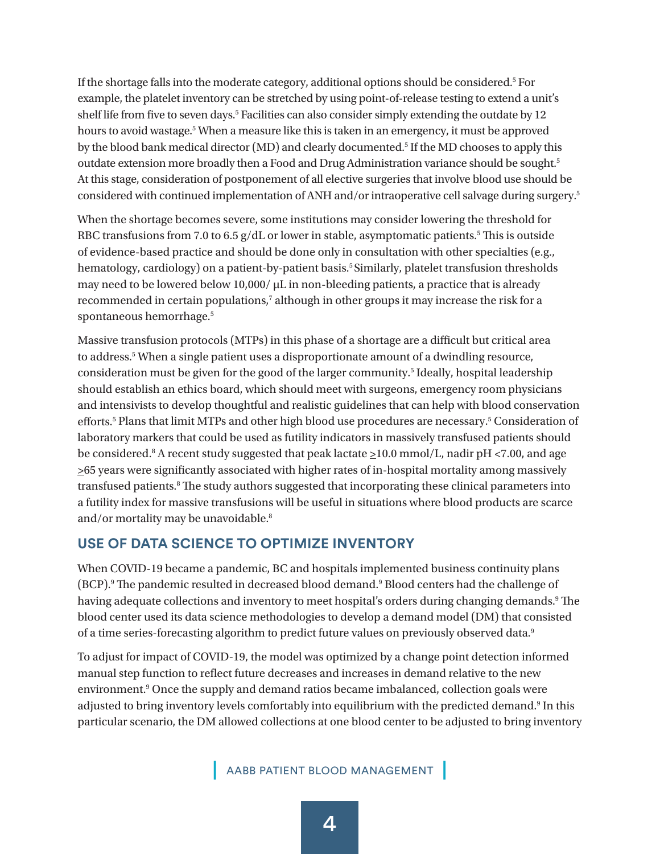If the shortage falls into the moderate category, additional options should be considered.<sup>5</sup> For example, the platelet inventory can be stretched by using point-of-release testing to extend a unit's shelf life from five to seven days.<sup>5</sup> Facilities can also consider simply extending the outdate by 12 hours to avoid wastage.<sup>5</sup> When a measure like this is taken in an emergency, it must be approved by the blood bank medical director (MD) and clearly documented.<sup>5</sup> If the MD chooses to apply this outdate extension more broadly then a Food and Drug Administration variance should be sought.<sup>5</sup> At this stage, consideration of postponement of all elective surgeries that involve blood use should be considered with continued implementation of ANH and/or intraoperative cell salvage during surgery.5

When the shortage becomes severe, some institutions may consider lowering the threshold for RBC transfusions from 7.0 to 6.5  $g/dL$  or lower in stable, asymptomatic patients.<sup>5</sup> This is outside of evidence-based practice and should be done only in consultation with other specialties (e.g., hematology, cardiology) on a patient-by-patient basis.<sup>5</sup> Similarly, platelet transfusion thresholds may need to be lowered below 10,000/ μL in non-bleeding patients, a practice that is already recommended in certain populations,<sup>7</sup> although in other groups it may increase the risk for a spontaneous hemorrhage.<sup>5</sup>

Massive transfusion protocols (MTPs) in this phase of a shortage are a difficult but critical area to address.<sup>5</sup> When a single patient uses a disproportionate amount of a dwindling resource, consideration must be given for the good of the larger community.<sup>5</sup> Ideally, hospital leadership should establish an ethics board, which should meet with surgeons, emergency room physicians and intensivists to develop thoughtful and realistic guidelines that can help with blood conservation efforts.<sup>5</sup> Plans that limit MTPs and other high blood use procedures are necessary.<sup>5</sup> Consideration of laboratory markers that could be used as futility indicators in massively transfused patients should be considered.<sup>8</sup> A recent study suggested that peak lactate  $\geq$ 10.0 mmol/L, nadir pH <7.00, and age >65 years were significantly associated with higher rates of in-hospital mortality among massively transfused patients.<sup>8</sup> The study authors suggested that incorporating these clinical parameters into a futility index for massive transfusions will be useful in situations where blood products are scarce and/or mortality may be unavoidable.<sup>8</sup>

#### **USE OF DATA SCIENCE TO OPTIMIZE INVENTORY**

When COVID-19 became a pandemic, BC and hospitals implemented business continuity plans (BCP).9 The pandemic resulted in decreased blood demand.9 Blood centers had the challenge of having adequate collections and inventory to meet hospital's orders during changing demands.<sup>9</sup> The blood center used its data science methodologies to develop a demand model (DM) that consisted of a time series-forecasting algorithm to predict future values on previously observed data.<sup>9</sup>

To adjust for impact of COVID-19, the model was optimized by a change point detection informed manual step function to reflect future decreases and increases in demand relative to the new environment.<sup>9</sup> Once the supply and demand ratios became imbalanced, collection goals were adjusted to bring inventory levels comfortably into equilibrium with the predicted demand.<sup>9</sup> In this particular scenario, the DM allowed collections at one blood center to be adjusted to bring inventory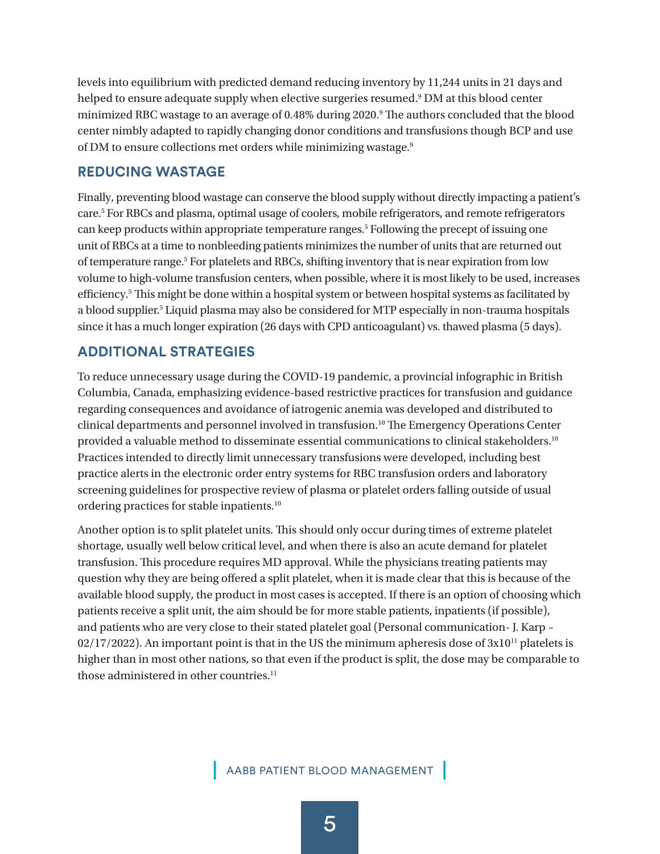levels into equilibrium with predicted demand reducing inventory by 11,244 units in 21 days and helped to ensure adequate supply when elective surgeries resumed.<sup>9</sup> DM at this blood center minimized RBC wastage to an average of 0.48% during 2020.<sup>9</sup> The authors concluded that the blood center nimbly adapted to rapidly changing donor conditions and transfusions though BCP and use of DM to ensure collections met orders while minimizing wastage.9

#### **REDUCING WASTAGE**

Finally, preventing blood wastage can conserve the blood supply without directly impacting a patient's care.<sup>5</sup> For RBCs and plasma, optimal usage of coolers, mobile refrigerators, and remote refrigerators can keep products within appropriate temperature ranges.<sup>5</sup> Following the precept of issuing one unit of RBCs at a time to nonbleeding patients minimizes the number of units that are returned out of temperature range.<sup>5</sup> For platelets and RBCs, shifting inventory that is near expiration from low volume to high-volume transfusion centers, when possible, where it is most likely to be used, increases efficiency.5 This might be done within a hospital system or between hospital systems as facilitated by a blood supplier.<sup>5</sup> Liquid plasma may also be considered for MTP especially in non-trauma hospitals since it has a much longer expiration (26 days with CPD anticoagulant) vs. thawed plasma (5 days).

# **ADDITIONAL STRATEGIES**

To reduce unnecessary usage during the COVID-19 pandemic, a provincial infographic in British Columbia, Canada, emphasizing evidence-based restrictive practices for transfusion and guidance regarding consequences and avoidance of iatrogenic anemia was developed and distributed to clinical departments and personnel involved in transfusion.10 The Emergency Operations Center provided a valuable method to disseminate essential communications to clinical stakeholders.10 Practices intended to directly limit unnecessary transfusions were developed, including best practice alerts in the electronic order entry systems for RBC transfusion orders and laboratory screening guidelines for prospective review of plasma or platelet orders falling outside of usual ordering practices for stable inpatients.10

Another option is to split platelet units. This should only occur during times of extreme platelet shortage, usually well below critical level, and when there is also an acute demand for platelet transfusion. This procedure requires MD approval. While the physicians treating patients may question why they are being offered a split platelet, when it is made clear that this is because of the available blood supply, the product in most cases is accepted. If there is an option of choosing which patients receive a split unit, the aim should be for more stable patients, inpatients (if possible), and patients who are very close to their stated platelet goal (Personal communication- J. Karp –  $02/17/2022$ ). An important point is that in the US the minimum apheresis dose of  $3x10^{11}$  platelets is higher than in most other nations, so that even if the product is split, the dose may be comparable to those administered in other countries.<sup>11</sup>